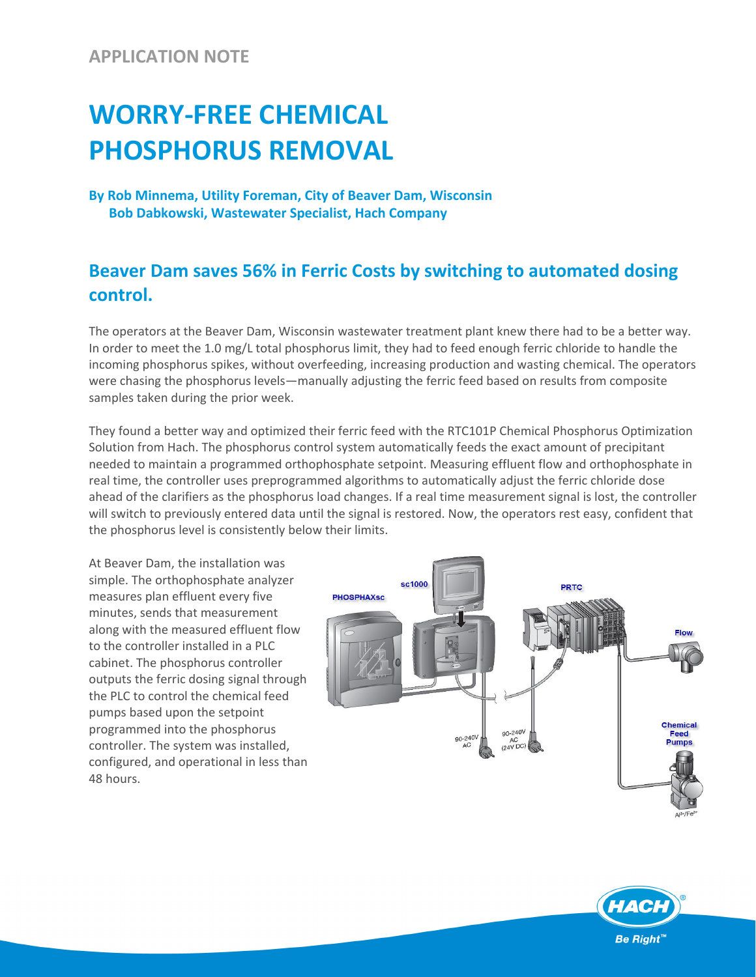## **APPLICATION NOTE**

## **WORRY‐FREE CHEMICAL PHOSPHORUS REMOVAL**

**By Rob Minnema, Utility Foreman, City of Beaver Dam, Wisconsin Bob Dabkowski, Wastewater Specialist, Hach Company**

## **Beaver Dam saves 56% in Ferric Costs by switching to automated dosing control.**

The operators at the Beaver Dam, Wisconsin wastewater treatment plant knew there had to be a better way. In order to meet the 1.0 mg/L total phosphorus limit, they had to feed enough ferric chloride to handle the incoming phosphorus spikes, without overfeeding, increasing production and wasting chemical. The operators were chasing the phosphorus levels—manually adjusting the ferric feed based on results from composite samples taken during the prior week.

They found a better way and optimized their ferric feed with the RTC101P Chemical Phosphorus Optimization Solution from Hach. The phosphorus control system automatically feeds the exact amount of precipitant needed to maintain a programmed orthophosphate setpoint. Measuring effluent flow and orthophosphate in real time, the controller uses preprogrammed algorithms to automatically adjust the ferric chloride dose ahead of the clarifiers as the phosphorus load changes. If a real time measurement signal is lost, the controller will switch to previously entered data until the signal is restored. Now, the operators rest easy, confident that the phosphorus level is consistently below their limits.

At Beaver Dam, the installation was simple. The orthophosphate analyzer measures plan effluent every five minutes, sends that measurement along with the measured effluent flow to the controller installed in a PLC cabinet. The phosphorus controller outputs the ferric dosing signal through the PLC to control the chemical feed pumps based upon the setpoint programmed into the phosphorus controller. The system was installed, configured, and operational in less than 48 hours.